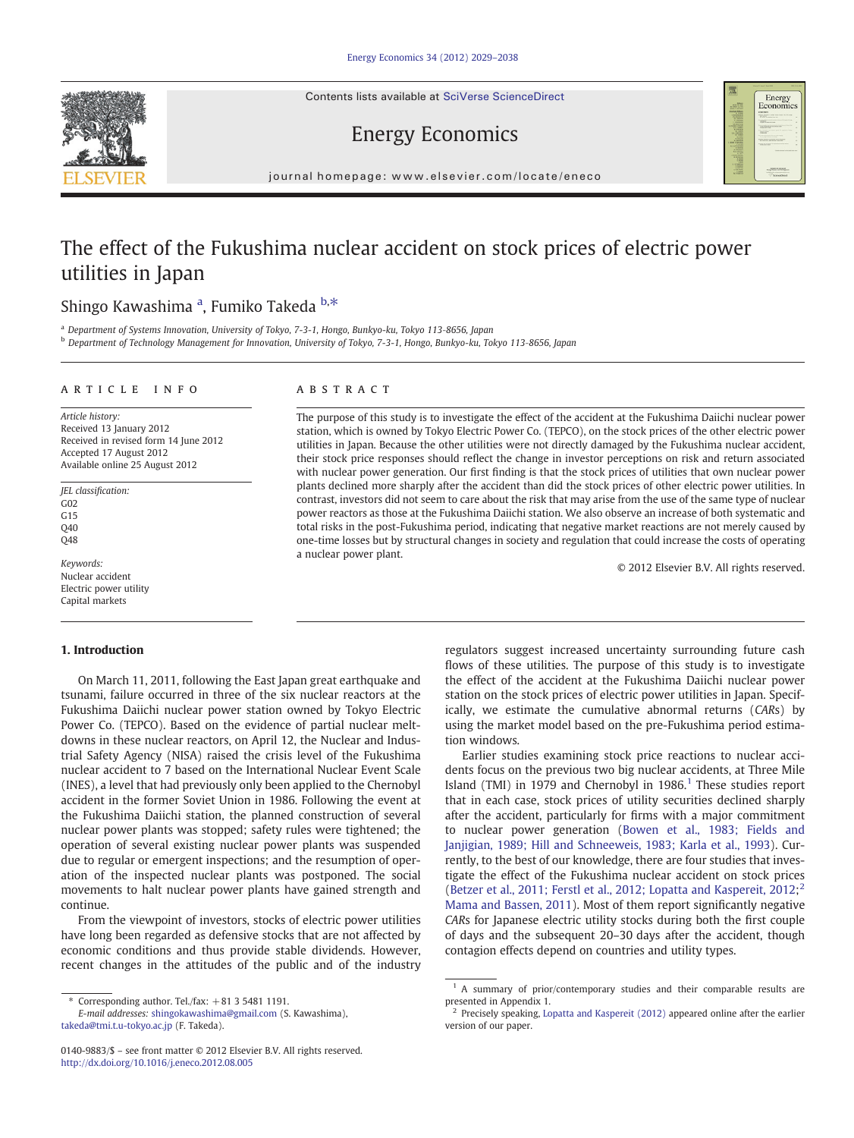Contents lists available at SciVerse ScienceDirect





## Energy Economics

journal homepage: www.elsevier.com/locate/eneco

# The effect of the Fukushima nuclear accident on stock prices of electric power utilities in Japan

### Shingo Kawashima <sup>a</sup>, Fumiko Takeda <sup>b,\*</sup>

<sup>a</sup> Department of Systems Innovation, University of Tokyo, 7-3-1, Hongo, Bunkyo-ku, Tokyo 113‐8656, Japan

<sup>b</sup> Department of Technology Management for Innovation, University of Tokyo, 7-3-1, Hongo, Bunkyo-ku, Tokyo 113‐8656, Japan

#### article info abstract

Article history: Received 13 January 2012 Received in revised form 14 June 2012 Accepted 17 August 2012 Available online 25 August 2012

JEL classification: G02  $G15$ Q40 Q48

Keywords: Nuclear accident Electric power utility Capital markets

### 1. Introduction

On March 11, 2011, following the East Japan great earthquake and tsunami, failure occurred in three of the six nuclear reactors at the Fukushima Daiichi nuclear power station owned by Tokyo Electric Power Co. (TEPCO). Based on the evidence of partial nuclear meltdowns in these nuclear reactors, on April 12, the Nuclear and Industrial Safety Agency (NISA) raised the crisis level of the Fukushima nuclear accident to 7 based on the International Nuclear Event Scale (INES), a level that had previously only been applied to the Chernobyl accident in the former Soviet Union in 1986. Following the event at the Fukushima Daiichi station, the planned construction of several nuclear power plants was stopped; safety rules were tightened; the operation of several existing nuclear power plants was suspended due to regular or emergent inspections; and the resumption of operation of the inspected nuclear plants was postponed. The social movements to halt nuclear power plants have gained strength and continue.

From the viewpoint of investors, stocks of electric power utilities have long been regarded as defensive stocks that are not affected by economic conditions and thus provide stable dividends. However, recent changes in the attitudes of the public and of the industry

Corresponding author. Tel./fax:  $+81$  3 5481 1191.

E-mail addresses: [shingokawashima@gmail.com](mailto:shingokawashima@gmail.com) (S. Kawashima), [takeda@tmi.t.u-tokyo.ac.jp](mailto:takeda@tmi.t.u-tokyo.ac.jp) (F. Takeda).

The purpose of this study is to investigate the effect of the accident at the Fukushima Daiichi nuclear power station, which is owned by Tokyo Electric Power Co. (TEPCO), on the stock prices of the other electric power utilities in Japan. Because the other utilities were not directly damaged by the Fukushima nuclear accident, their stock price responses should reflect the change in investor perceptions on risk and return associated with nuclear power generation. Our first finding is that the stock prices of utilities that own nuclear power plants declined more sharply after the accident than did the stock prices of other electric power utilities. In contrast, investors did not seem to care about the risk that may arise from the use of the same type of nuclear power reactors as those at the Fukushima Daiichi station. We also observe an increase of both systematic and total risks in the post-Fukushima period, indicating that negative market reactions are not merely caused by one-time losses but by structural changes in society and regulation that could increase the costs of operating a nuclear power plant.

© 2012 Elsevier B.V. All rights reserved.

regulators suggest increased uncertainty surrounding future cash flows of these utilities. The purpose of this study is to investigate the effect of the accident at the Fukushima Daiichi nuclear power station on the stock prices of electric power utilities in Japan. Specifically, we estimate the cumulative abnormal returns (CARs) by using the market model based on the pre-Fukushima period estimation windows.

Earlier studies examining stock price reactions to nuclear accidents focus on the previous two big nuclear accidents, at Three Mile Island (TMI) in 1979 and Chernobyl in  $1986<sup>1</sup>$  These studies report that in each case, stock prices of utility securities declined sharply after the accident, particularly for firms with a major commitment to nuclear power generation ([Bowen et al., 1983; Fields and](#page--1-0) [Janjigian, 1989; Hill and Schneeweis, 1983; Karla et al., 1993](#page--1-0)). Currently, to the best of our knowledge, there are four studies that investigate the effect of the Fukushima nuclear accident on stock prices [\(Betzer et al., 2011; Ferstl et al., 2012; Lopatta and Kaspereit, 2012](#page--1-0);<sup>2</sup> [Mama and Bassen, 2011](#page--1-0)). Most of them report significantly negative CARs for Japanese electric utility stocks during both the first couple of days and the subsequent 20–30 days after the accident, though contagion effects depend on countries and utility types.

<sup>0140-9883/\$</sup> – see front matter © 2012 Elsevier B.V. All rights reserved. <http://dx.doi.org/10.1016/j.eneco.2012.08.005>

<sup>1</sup> A summary of prior/contemporary studies and their comparable results are presented in Appendix 1.

<sup>2</sup> Precisely speaking, [Lopatta and Kaspereit \(2012\)](#page--1-0) appeared online after the earlier version of our paper.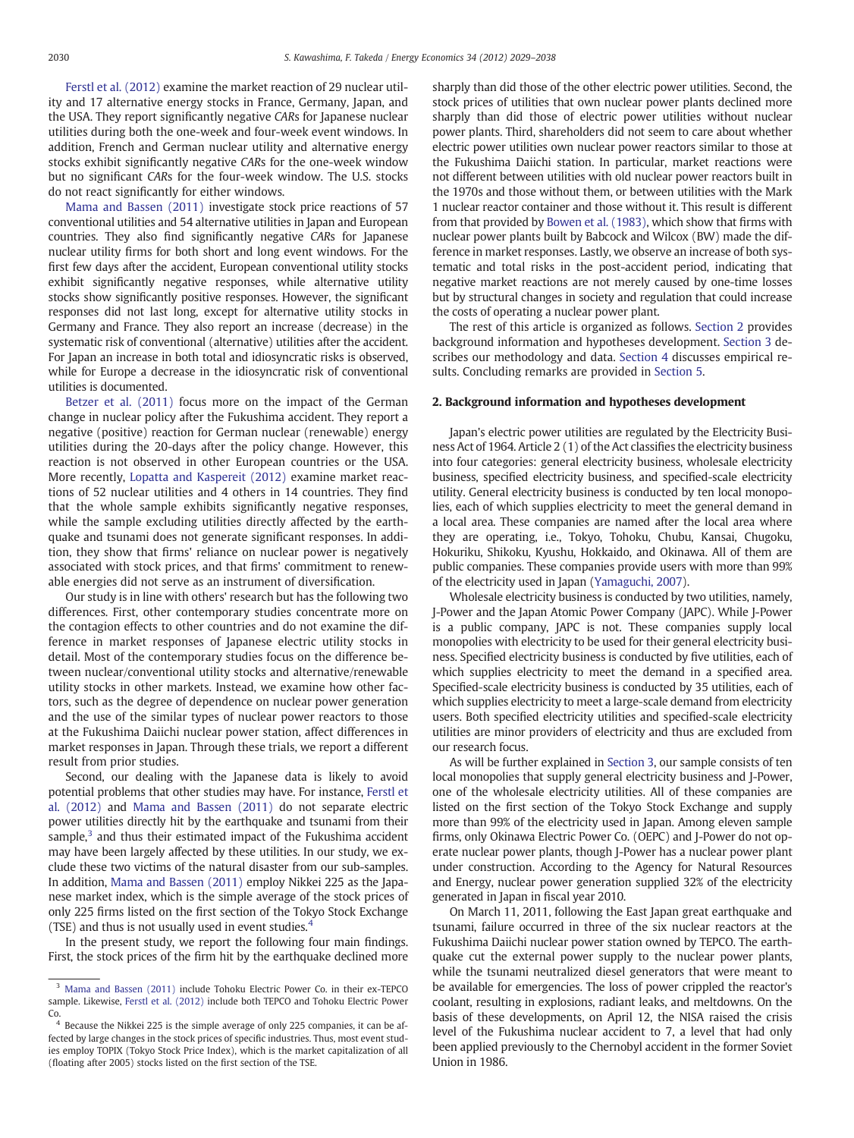[Ferstl et al. \(2012\)](#page--1-0) examine the market reaction of 29 nuclear utility and 17 alternative energy stocks in France, Germany, Japan, and the USA. They report significantly negative CARs for Japanese nuclear utilities during both the one-week and four-week event windows. In addition, French and German nuclear utility and alternative energy stocks exhibit significantly negative CARs for the one-week window but no significant CARs for the four-week window. The U.S. stocks do not react significantly for either windows.

[Mama and Bassen \(2011\)](#page--1-0) investigate stock price reactions of 57 conventional utilities and 54 alternative utilities in Japan and European countries. They also find significantly negative CARs for Japanese nuclear utility firms for both short and long event windows. For the first few days after the accident, European conventional utility stocks exhibit significantly negative responses, while alternative utility stocks show significantly positive responses. However, the significant responses did not last long, except for alternative utility stocks in Germany and France. They also report an increase (decrease) in the systematic risk of conventional (alternative) utilities after the accident. For Japan an increase in both total and idiosyncratic risks is observed, while for Europe a decrease in the idiosyncratic risk of conventional utilities is documented.

[Betzer et al. \(2011\)](#page--1-0) focus more on the impact of the German change in nuclear policy after the Fukushima accident. They report a negative (positive) reaction for German nuclear (renewable) energy utilities during the 20-days after the policy change. However, this reaction is not observed in other European countries or the USA. More recently, [Lopatta and Kaspereit \(2012\)](#page--1-0) examine market reactions of 52 nuclear utilities and 4 others in 14 countries. They find that the whole sample exhibits significantly negative responses, while the sample excluding utilities directly affected by the earthquake and tsunami does not generate significant responses. In addition, they show that firms' reliance on nuclear power is negatively associated with stock prices, and that firms' commitment to renewable energies did not serve as an instrument of diversification.

Our study is in line with others' research but has the following two differences. First, other contemporary studies concentrate more on the contagion effects to other countries and do not examine the difference in market responses of Japanese electric utility stocks in detail. Most of the contemporary studies focus on the difference between nuclear/conventional utility stocks and alternative/renewable utility stocks in other markets. Instead, we examine how other factors, such as the degree of dependence on nuclear power generation and the use of the similar types of nuclear power reactors to those at the Fukushima Daiichi nuclear power station, affect differences in market responses in Japan. Through these trials, we report a different result from prior studies.

Second, our dealing with the Japanese data is likely to avoid potential problems that other studies may have. For instance, [Ferstl et](#page--1-0) [al. \(2012\)](#page--1-0) and [Mama and Bassen \(2011\)](#page--1-0) do not separate electric power utilities directly hit by the earthquake and tsunami from their sample, $3$  and thus their estimated impact of the Fukushima accident may have been largely affected by these utilities. In our study, we exclude these two victims of the natural disaster from our sub-samples. In addition, [Mama and Bassen \(2011\)](#page--1-0) employ Nikkei 225 as the Japanese market index, which is the simple average of the stock prices of only 225 firms listed on the first section of the Tokyo Stock Exchange (TSE) and thus is not usually used in event studies.<sup>4</sup>

In the present study, we report the following four main findings. First, the stock prices of the firm hit by the earthquake declined more sharply than did those of the other electric power utilities. Second, the stock prices of utilities that own nuclear power plants declined more sharply than did those of electric power utilities without nuclear power plants. Third, shareholders did not seem to care about whether electric power utilities own nuclear power reactors similar to those at the Fukushima Daiichi station. In particular, market reactions were not different between utilities with old nuclear power reactors built in the 1970s and those without them, or between utilities with the Mark 1 nuclear reactor container and those without it. This result is different from that provided by [Bowen et al. \(1983\)](#page--1-0), which show that firms with nuclear power plants built by Babcock and Wilcox (BW) made the difference in market responses. Lastly, we observe an increase of both systematic and total risks in the post-accident period, indicating that negative market reactions are not merely caused by one-time losses but by structural changes in society and regulation that could increase the costs of operating a nuclear power plant.

The rest of this article is organized as follows. Section 2 provides background information and hypotheses development. [Section 3](#page--1-0) describes our methodology and data. [Section 4](#page--1-0) discusses empirical results. Concluding remarks are provided in [Section 5](#page--1-0).

#### 2. Background information and hypotheses development

Japan's electric power utilities are regulated by the Electricity Business Act of 1964. Article 2 (1) of the Act classifies the electricity business into four categories: general electricity business, wholesale electricity business, specified electricity business, and specified-scale electricity utility. General electricity business is conducted by ten local monopolies, each of which supplies electricity to meet the general demand in a local area. These companies are named after the local area where they are operating, i.e., Tokyo, Tohoku, Chubu, Kansai, Chugoku, Hokuriku, Shikoku, Kyushu, Hokkaido, and Okinawa. All of them are public companies. These companies provide users with more than 99% of the electricity used in Japan ([Yamaguchi, 2007\)](#page--1-0).

Wholesale electricity business is conducted by two utilities, namely, J-Power and the Japan Atomic Power Company (JAPC). While J-Power is a public company, JAPC is not. These companies supply local monopolies with electricity to be used for their general electricity business. Specified electricity business is conducted by five utilities, each of which supplies electricity to meet the demand in a specified area. Specified-scale electricity business is conducted by 35 utilities, each of which supplies electricity to meet a large-scale demand from electricity users. Both specified electricity utilities and specified-scale electricity utilities are minor providers of electricity and thus are excluded from our research focus.

As will be further explained in [Section 3](#page--1-0), our sample consists of ten local monopolies that supply general electricity business and J-Power, one of the wholesale electricity utilities. All of these companies are listed on the first section of the Tokyo Stock Exchange and supply more than 99% of the electricity used in Japan. Among eleven sample firms, only Okinawa Electric Power Co. (OEPC) and J-Power do not operate nuclear power plants, though J-Power has a nuclear power plant under construction. According to the Agency for Natural Resources and Energy, nuclear power generation supplied 32% of the electricity generated in Japan in fiscal year 2010.

On March 11, 2011, following the East Japan great earthquake and tsunami, failure occurred in three of the six nuclear reactors at the Fukushima Daiichi nuclear power station owned by TEPCO. The earthquake cut the external power supply to the nuclear power plants, while the tsunami neutralized diesel generators that were meant to be available for emergencies. The loss of power crippled the reactor's coolant, resulting in explosions, radiant leaks, and meltdowns. On the basis of these developments, on April 12, the NISA raised the crisis level of the Fukushima nuclear accident to 7, a level that had only been applied previously to the Chernobyl accident in the former Soviet Union in 1986.

<sup>3</sup> [Mama and Bassen \(2011\)](#page--1-0) include Tohoku Electric Power Co. in their ex-TEPCO sample. Likewise, [Ferstl et al. \(2012\)](#page--1-0) include both TEPCO and Tohoku Electric Power Co.

<sup>4</sup> Because the Nikkei 225 is the simple average of only 225 companies, it can be affected by large changes in the stock prices of specific industries. Thus, most event studies employ TOPIX (Tokyo Stock Price Index), which is the market capitalization of all (floating after 2005) stocks listed on the first section of the TSE.